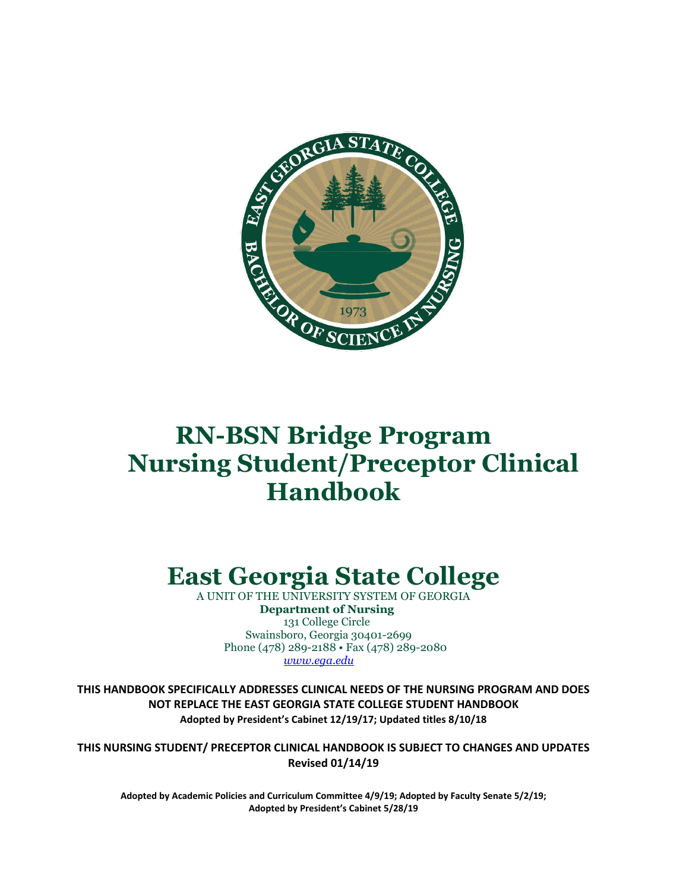

# **RN-BSN Bridge Program Nursing Student/Preceptor Clinical Handbook**

# **East Georgia State College**

A UNIT OF THE UNIVERSITY SYSTEM OF GEORGIA  **Department of Nursing** 131 College Circle Swainsboro, Georgia 30401-2699 Phone (478) 289-2188 • Fax (478) 289-2080  *[www.ega.edu](http://www.ega.edu/)*

**THIS HANDBOOK SPECIFICALLY ADDRESSES CLINICAL NEEDS OF THE NURSING PROGRAM AND DOES NOT REPLACE THE EAST GEORGIA STATE COLLEGE STUDENT HANDBOOK Adopted by President's Cabinet 12/19/17; Updated titles 8/10/18**

**THIS NURSING STUDENT/ PRECEPTOR CLINICAL HANDBOOK IS SUBJECT TO CHANGES AND UPDATES Revised 01/14/19**

**Adopted by Academic Policies and Curriculum Committee 4/9/19; Adopted by Faculty Senate 5/2/19; Adopted by President's Cabinet 5/28/19**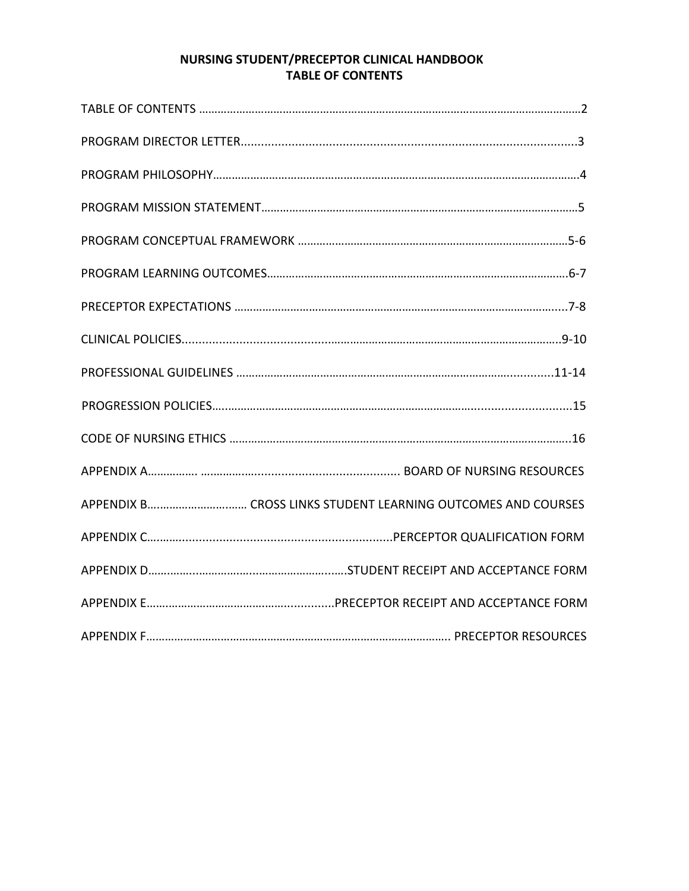# **NURSING STUDENT/PRECEPTOR CLINICAL HANDBOOK TABLE OF CONTENTS**

| APPENDIX B CROSS LINKS STUDENT LEARNING OUTCOMES AND COURSES |
|--------------------------------------------------------------|
|                                                              |
|                                                              |
|                                                              |
|                                                              |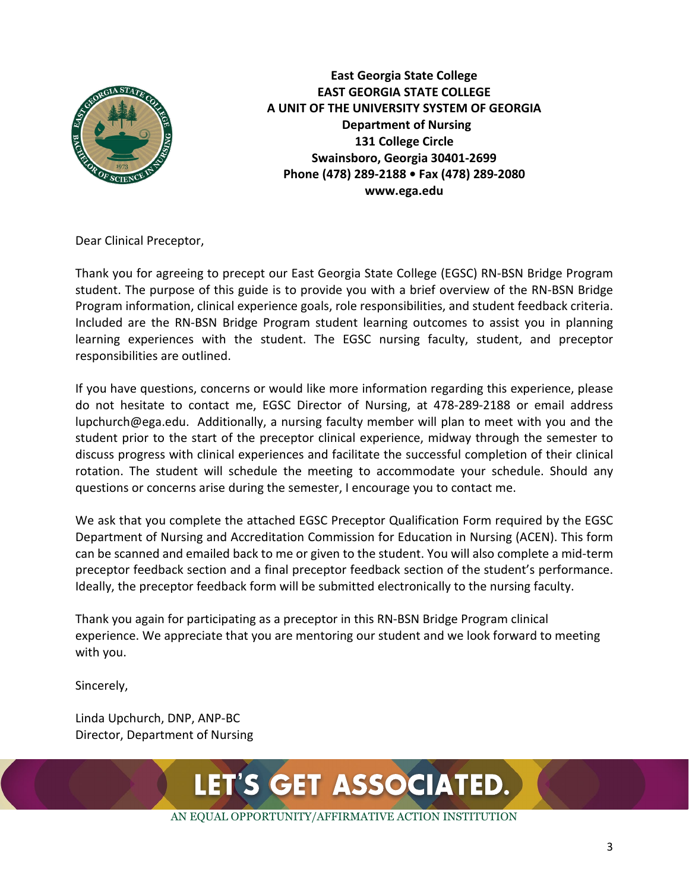

**East Georgia State College EAST GEORGIA STATE COLLEGE A UNIT OF THE UNIVERSITY SYSTEM OF GEORGIA Department of Nursing 131 College Circle Swainsboro, Georgia 30401-2699 Phone (478) 289-2188 • Fax (478) 289-2080 www.ega.edu**

Dear Clinical Preceptor,

Thank you for agreeing to precept our East Georgia State College (EGSC) RN-BSN Bridge Program student. The purpose of this guide is to provide you with a brief overview of the RN-BSN Bridge Program information, clinical experience goals, role responsibilities, and student feedback criteria. Included are the RN-BSN Bridge Program student learning outcomes to assist you in planning learning experiences with the student. The EGSC nursing faculty, student, and preceptor responsibilities are outlined.

If you have questions, concerns or would like more information regarding this experience, please do not hesitate to contact me, EGSC Director of Nursing, at 478-289-2188 or email address lupchurch@ega.edu. Additionally, a nursing faculty member will plan to meet with you and the student prior to the start of the preceptor clinical experience, midway through the semester to discuss progress with clinical experiences and facilitate the successful completion of their clinical rotation. The student will schedule the meeting to accommodate your schedule. Should any questions or concerns arise during the semester, I encourage you to contact me.

We ask that you complete the attached EGSC Preceptor Qualification Form required by the EGSC Department of Nursing and Accreditation Commission for Education in Nursing (ACEN). This form can be scanned and emailed back to me or given to the student. You will also complete a mid-term preceptor feedback section and a final preceptor feedback section of the student's performance. Ideally, the preceptor feedback form will be submitted electronically to the nursing faculty.

Thank you again for participating as a preceptor in this RN-BSN Bridge Program clinical experience. We appreciate that you are mentoring our student and we look forward to meeting with you.

Sincerely,

Linda Upchurch, DNP, ANP-BC Director, Department of Nursing

LET'S GET ASSOCIATED.

AN EQUAL OPPORTUNITY/AFFIRMATIVE ACTION INSTITUTION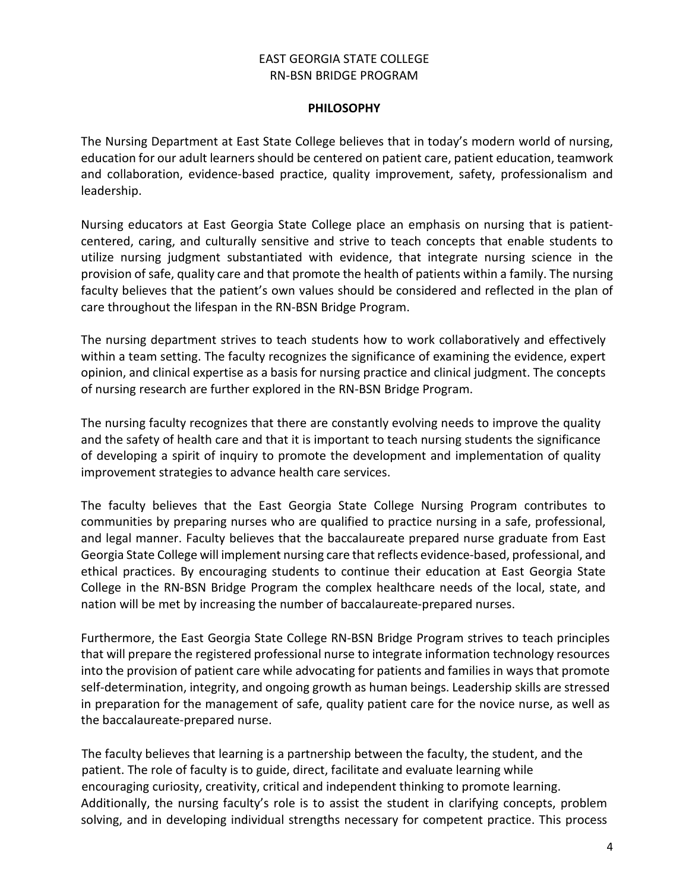### EAST GEORGIA STATE COLLEGE RN-BSN BRIDGE PROGRAM

#### **PHILOSOPHY**

The Nursing Department at East State College believes that in today's modern world of nursing, education for our adult learners should be centered on patient care, patient education, teamwork and collaboration, evidence-based practice, quality improvement, safety, professionalism and leadership.

Nursing educators at East Georgia State College place an emphasis on nursing that is patientcentered, caring, and culturally sensitive and strive to teach concepts that enable students to utilize nursing judgment substantiated with evidence, that integrate nursing science in the provision of safe, quality care and that promote the health of patients within a family. The nursing faculty believes that the patient's own values should be considered and reflected in the plan of care throughout the lifespan in the RN-BSN Bridge Program.

The nursing department strives to teach students how to work collaboratively and effectively within a team setting. The faculty recognizes the significance of examining the evidence, expert opinion, and clinical expertise as a basis for nursing practice and clinical judgment. The concepts of nursing research are further explored in the RN-BSN Bridge Program.

The nursing faculty recognizes that there are constantly evolving needs to improve the quality and the safety of health care and that it is important to teach nursing students the significance of developing a spirit of inquiry to promote the development and implementation of quality improvement strategies to advance health care services.

The faculty believes that the East Georgia State College Nursing Program contributes to communities by preparing nurses who are qualified to practice nursing in a safe, professional, and legal manner. Faculty believes that the baccalaureate prepared nurse graduate from East Georgia State College will implement nursing care that reflects evidence-based, professional, and ethical practices. By encouraging students to continue their education at East Georgia State College in the RN-BSN Bridge Program the complex healthcare needs of the local, state, and nation will be met by increasing the number of baccalaureate-prepared nurses.

Furthermore, the East Georgia State College RN-BSN Bridge Program strives to teach principles that will prepare the registered professional nurse to integrate information technology resources into the provision of patient care while advocating for patients and families in ways that promote self-determination, integrity, and ongoing growth as human beings. Leadership skills are stressed in preparation for the management of safe, quality patient care for the novice nurse, as well as the baccalaureate-prepared nurse.

 The faculty believes that learning is a partnership between the faculty, the student, and the patient. The role of faculty is to guide, direct, facilitate and evaluate learning while encouraging curiosity, creativity, critical and independent thinking to promote learning. Additionally, the nursing faculty's role is to assist the student in clarifying concepts, problem solving, and in developing individual strengths necessary for competent practice. This process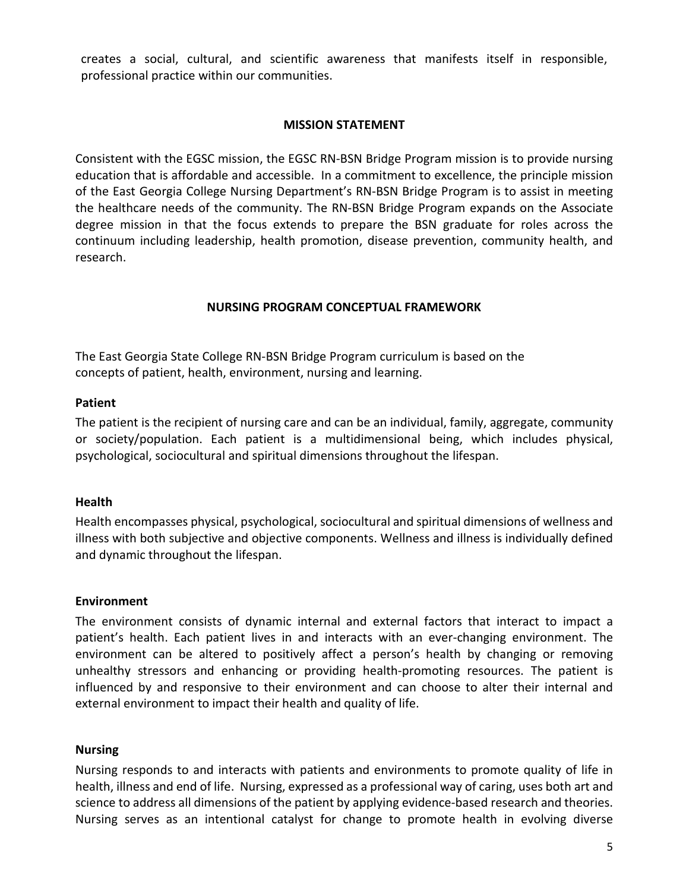creates a social, cultural, and scientific awareness that manifests itself in responsible, professional practice within our communities.

#### **MISSION STATEMENT**

Consistent with the EGSC mission, the EGSC RN-BSN Bridge Program mission is to provide nursing education that is affordable and accessible. In a commitment to excellence, the principle mission of the East Georgia College Nursing Department's RN-BSN Bridge Program is to assist in meeting the healthcare needs of the community. The RN-BSN Bridge Program expands on the Associate degree mission in that the focus extends to prepare the BSN graduate for roles across the continuum including leadership, health promotion, disease prevention, community health, and research.

#### **NURSING PROGRAM CONCEPTUAL FRAMEWORK**

The East Georgia State College RN-BSN Bridge Program curriculum is based on the concepts of patient, health, environment, nursing and learning.

#### **Patient**

The patient is the recipient of nursing care and can be an individual, family, aggregate, community or society/population. Each patient is a multidimensional being, which includes physical, psychological, sociocultural and spiritual dimensions throughout the lifespan.

## **Health**

Health encompasses physical, psychological, sociocultural and spiritual dimensions of wellness and illness with both subjective and objective components. Wellness and illness is individually defined and dynamic throughout the lifespan.

#### **Environment**

The environment consists of dynamic internal and external factors that interact to impact a patient's health. Each patient lives in and interacts with an ever-changing environment. The environment can be altered to positively affect a person's health by changing or removing unhealthy stressors and enhancing or providing health-promoting resources. The patient is influenced by and responsive to their environment and can choose to alter their internal and external environment to impact their health and quality of life.

#### **Nursing**

Nursing responds to and interacts with patients and environments to promote quality of life in health, illness and end of life. Nursing, expressed as a professional way of caring, uses both art and science to address all dimensions of the patient by applying evidence-based research and theories. Nursing serves as an intentional catalyst for change to promote health in evolving diverse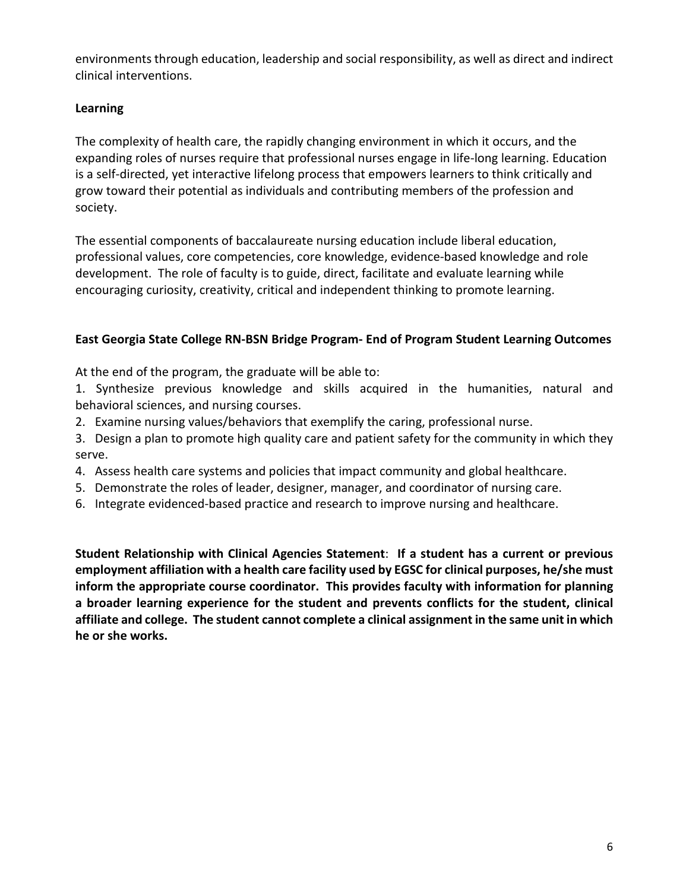environments through education, leadership and social responsibility, as well as direct and indirect clinical interventions.

# **Learning**

The complexity of health care, the rapidly changing environment in which it occurs, and the expanding roles of nurses require that professional nurses engage in life-long learning. Education is a self-directed, yet interactive lifelong process that empowers learners to think critically and grow toward their potential as individuals and contributing members of the profession and society.

The essential components of baccalaureate nursing education include liberal education, professional values, core competencies, core knowledge, evidence-based knowledge and role development. The role of faculty is to guide, direct, facilitate and evaluate learning while encouraging curiosity, creativity, critical and independent thinking to promote learning.

# **East Georgia State College RN-BSN Bridge Program- End of Program Student Learning Outcomes**

At the end of the program, the graduate will be able to:

1. Synthesize previous knowledge and skills acquired in the humanities, natural and behavioral sciences, and nursing courses.

- 2. Examine nursing values/behaviors that exemplify the caring, professional nurse.
- 3. Design a plan to promote high quality care and patient safety for the community in which they serve.
- 4. Assess health care systems and policies that impact community and global healthcare.
- 5. Demonstrate the roles of leader, designer, manager, and coordinator of nursing care.
- 6. Integrate evidenced-based practice and research to improve nursing and healthcare.

**Student Relationship with Clinical Agencies Statement**: **If a student has a current or previous employment affiliation with a health care facility used by EGSC for clinical purposes, he/she must inform the appropriate course coordinator. This provides faculty with information for planning a broader learning experience for the student and prevents conflicts for the student, clinical affiliate and college. The student cannot complete a clinical assignment in the same unit in which he or she works.**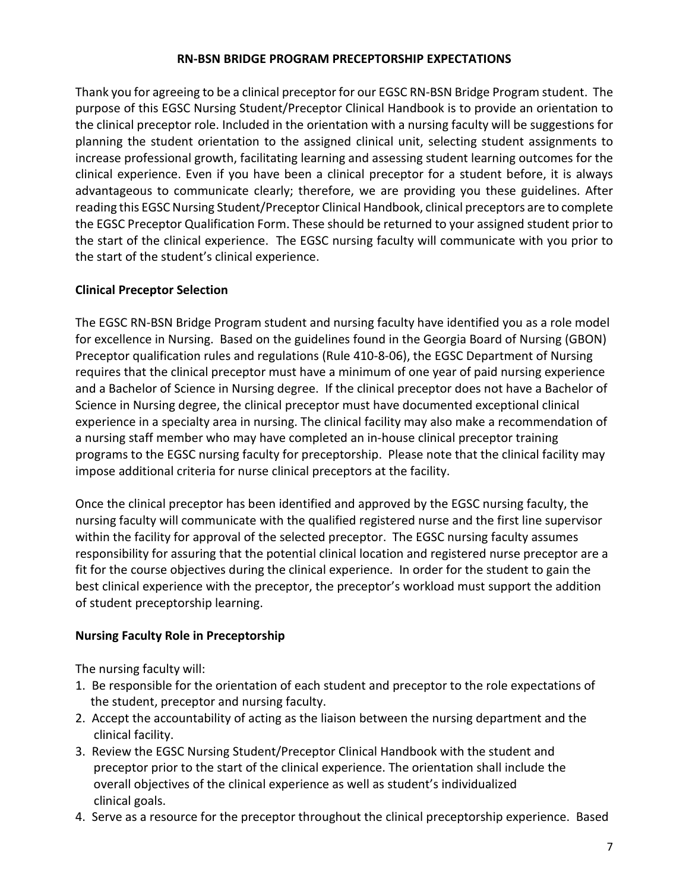#### **RN-BSN BRIDGE PROGRAM PRECEPTORSHIP EXPECTATIONS**

Thank you for agreeing to be a clinical preceptor for our EGSC RN-BSN Bridge Program student. The purpose of this EGSC Nursing Student/Preceptor Clinical Handbook is to provide an orientation to the clinical preceptor role. Included in the orientation with a nursing faculty will be suggestions for planning the student orientation to the assigned clinical unit, selecting student assignments to increase professional growth, facilitating learning and assessing student learning outcomes for the clinical experience. Even if you have been a clinical preceptor for a student before, it is always advantageous to communicate clearly; therefore, we are providing you these guidelines. After reading this EGSC Nursing Student/Preceptor Clinical Handbook, clinical preceptors are to complete the EGSC Preceptor Qualification Form. These should be returned to your assigned student prior to the start of the clinical experience. The EGSC nursing faculty will communicate with you prior to the start of the student's clinical experience.

## **Clinical Preceptor Selection**

The EGSC RN-BSN Bridge Program student and nursing faculty have identified you as a role model for excellence in Nursing. Based on the guidelines found in the Georgia Board of Nursing (GBON) Preceptor qualification rules and regulations (Rule 410-8-06), the EGSC Department of Nursing requires that the clinical preceptor must have a minimum of one year of paid nursing experience and a Bachelor of Science in Nursing degree. If the clinical preceptor does not have a Bachelor of Science in Nursing degree, the clinical preceptor must have documented exceptional clinical experience in a specialty area in nursing. The clinical facility may also make a recommendation of a nursing staff member who may have completed an in-house clinical preceptor training programs to the EGSC nursing faculty for preceptorship. Please note that the clinical facility may impose additional criteria for nurse clinical preceptors at the facility.

Once the clinical preceptor has been identified and approved by the EGSC nursing faculty, the nursing faculty will communicate with the qualified registered nurse and the first line supervisor within the facility for approval of the selected preceptor. The EGSC nursing faculty assumes responsibility for assuring that the potential clinical location and registered nurse preceptor are a fit for the course objectives during the clinical experience. In order for the student to gain the best clinical experience with the preceptor, the preceptor's workload must support the addition of student preceptorship learning.

## **Nursing Faculty Role in Preceptorship**

The nursing faculty will:

- 1. Be responsible for the orientation of each student and preceptor to the role expectations of the student, preceptor and nursing faculty.
- 2. Accept the accountability of acting as the liaison between the nursing department and the clinical facility.
- 3. Review the EGSC Nursing Student/Preceptor Clinical Handbook with the student and preceptor prior to the start of the clinical experience. The orientation shall include the overall objectives of the clinical experience as well as student's individualized clinical goals.
- 4. Serve as a resource for the preceptor throughout the clinical preceptorship experience. Based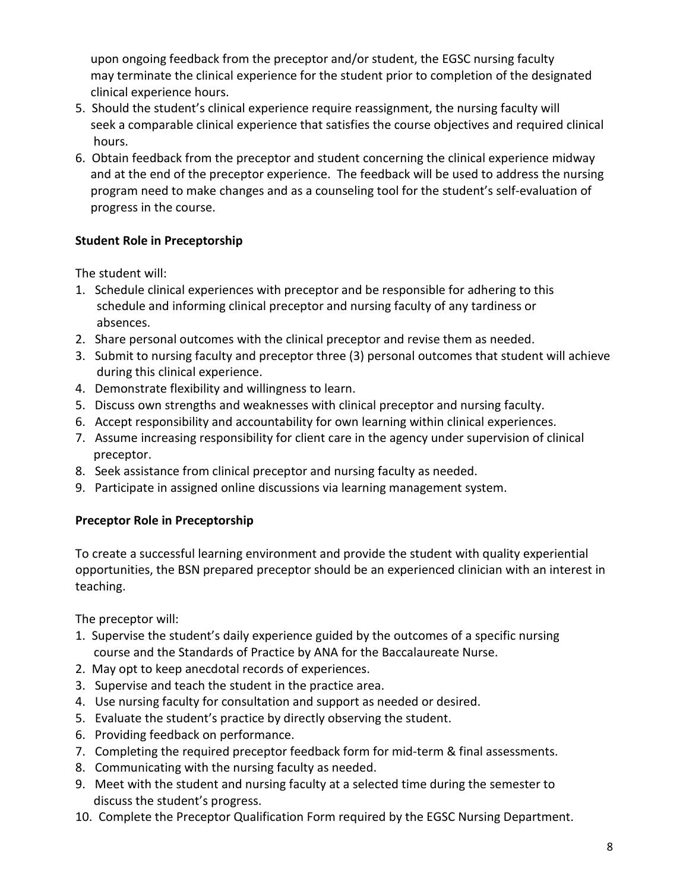upon ongoing feedback from the preceptor and/or student, the EGSC nursing faculty may terminate the clinical experience for the student prior to completion of the designated clinical experience hours.

- 5. Should the student's clinical experience require reassignment, the nursing faculty will seek a comparable clinical experience that satisfies the course objectives and required clinical hours.
- 6. Obtain feedback from the preceptor and student concerning the clinical experience midway and at the end of the preceptor experience. The feedback will be used to address the nursing program need to make changes and as a counseling tool for the student's self-evaluation of progress in the course.

# **Student Role in Preceptorship**

The student will:

- 1. Schedule clinical experiences with preceptor and be responsible for adhering to this schedule and informing clinical preceptor and nursing faculty of any tardiness or absences.
- 2. Share personal outcomes with the clinical preceptor and revise them as needed.
- 3. Submit to nursing faculty and preceptor three (3) personal outcomes that student will achieve during this clinical experience.
- 4. Demonstrate flexibility and willingness to learn.
- 5. Discuss own strengths and weaknesses with clinical preceptor and nursing faculty.
- 6. Accept responsibility and accountability for own learning within clinical experiences.
- 7. Assume increasing responsibility for client care in the agency under supervision of clinical preceptor.
- 8. Seek assistance from clinical preceptor and nursing faculty as needed.
- 9. Participate in assigned online discussions via learning management system.

# **Preceptor Role in Preceptorship**

To create a successful learning environment and provide the student with quality experiential opportunities, the BSN prepared preceptor should be an experienced clinician with an interest in teaching.

The preceptor will:

- 1. Supervise the student's daily experience guided by the outcomes of a specific nursing course and the Standards of Practice by ANA for the Baccalaureate Nurse.
- 2. May opt to keep anecdotal records of experiences.
- 3. Supervise and teach the student in the practice area.
- 4. Use nursing faculty for consultation and support as needed or desired.
- 5. Evaluate the student's practice by directly observing the student.
- 6. Providing feedback on performance.
- 7. Completing the required preceptor feedback form for mid-term & final assessments.
- 8. Communicating with the nursing faculty as needed.
- 9. Meet with the student and nursing faculty at a selected time during the semester to discuss the student's progress.
- 10. Complete the Preceptor Qualification Form required by the EGSC Nursing Department.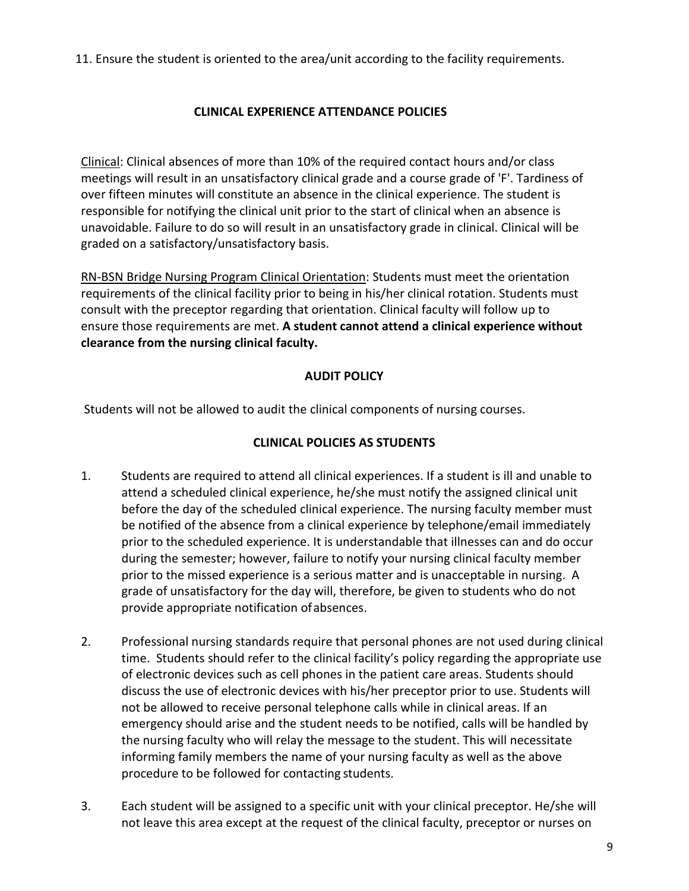11. Ensure the student is oriented to the area/unit according to the facility requirements.

# **CLINICAL EXPERIENCE ATTENDANCE POLICIES**

Clinical: Clinical absences of more than 10% of the required contact hours and/or class meetings will result in an unsatisfactory clinical grade and a course grade of 'F'. Tardiness of over fifteen minutes will constitute an absence in the clinical experience. The student is responsible for notifying the clinical unit prior to the start of clinical when an absence is unavoidable. Failure to do so will result in an unsatisfactory grade in clinical. Clinical will be graded on a satisfactory/unsatisfactory basis.

RN-BSN Bridge Nursing Program Clinical Orientation: Students must meet the orientation requirements of the clinical facility prior to being in his/her clinical rotation. Students must consult with the preceptor regarding that orientation. Clinical faculty will follow up to ensure those requirements are met. **A student cannot attend a clinical experience without clearance from the nursing clinical faculty.**

# **AUDIT POLICY**

Students will not be allowed to audit the clinical components of nursing courses.

# **CLINICAL POLICIES AS STUDENTS**

- 1. Students are required to attend all clinical experiences. If a student is ill and unable to attend a scheduled clinical experience, he/she must notify the assigned clinical unit before the day of the scheduled clinical experience. The nursing faculty member must be notified of the absence from a clinical experience by telephone/email immediately prior to the scheduled experience. It is understandable that illnesses can and do occur during the semester; however, failure to notify your nursing clinical faculty member prior to the missed experience is a serious matter and is unacceptable in nursing. A grade of unsatisfactory for the day will, therefore, be given to students who do not provide appropriate notification ofabsences.
- 2. Professional nursing standards require that personal phones are not used during clinical time. Students should refer to the clinical facility's policy regarding the appropriate use of electronic devices such as cell phones in the patient care areas. Students should discuss the use of electronic devices with his/her preceptor prior to use. Students will not be allowed to receive personal telephone calls while in clinical areas. If an emergency should arise and the student needs to be notified, calls will be handled by the nursing faculty who will relay the message to the student. This will necessitate informing family members the name of your nursing faculty as well as the above procedure to be followed for contacting students.
- 3. Each student will be assigned to a specific unit with your clinical preceptor. He/she will not leave this area except at the request of the clinical faculty, preceptor or nurses on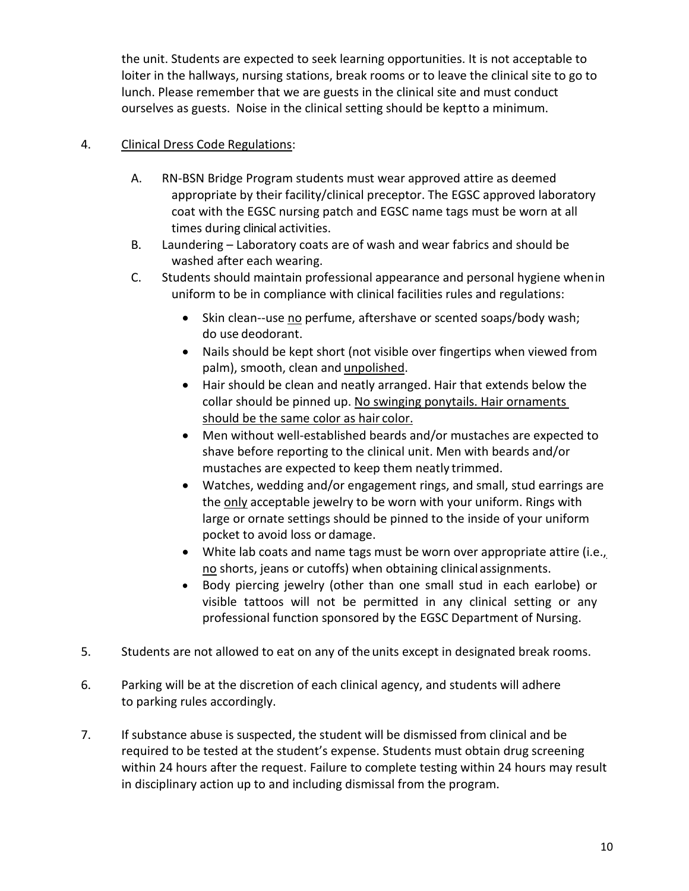the unit. Students are expected to seek learning opportunities. It is not acceptable to loiter in the hallways, nursing stations, break rooms or to leave the clinical site to go to lunch. Please remember that we are guests in the clinical site and must conduct ourselves as guests. Noise in the clinical setting should be keptto a minimum.

# 4. Clinical Dress Code Regulations:

- A. RN-BSN Bridge Program students must wear approved attire as deemed appropriate by their facility/clinical preceptor. The EGSC approved laboratory coat with the EGSC nursing patch and EGSC name tags must be worn at all times during clinical activities.
- B. Laundering Laboratory coats are of wash and wear fabrics and should be washed after each wearing.
- C. Students should maintain professional appearance and personal hygiene whenin uniform to be in compliance with clinical facilities rules and regulations:
	- Skin clean--use no perfume, aftershave or scented soaps/body wash; do use deodorant.
	- Nails should be kept short (not visible over fingertips when viewed from palm), smooth, clean and unpolished.
	- Hair should be clean and neatly arranged. Hair that extends below the collar should be pinned up. No swinging ponytails. Hair ornaments should be the same color as hair color.
	- Men without well-established beards and/or mustaches are expected to shave before reporting to the clinical unit. Men with beards and/or mustaches are expected to keep them neatly trimmed.
	- Watches, wedding and/or engagement rings, and small, stud earrings are the only acceptable jewelry to be worn with your uniform. Rings with large or ornate settings should be pinned to the inside of your uniform pocket to avoid loss or damage.
	- White lab coats and name tags must be worn over appropriate attire (i.e., no shorts, jeans or cutoffs) when obtaining clinical assignments.
	- Body piercing jewelry (other than one small stud in each earlobe) or visible tattoos will not be permitted in any clinical setting or any professional function sponsored by the EGSC Department of Nursing.
- 5. Students are not allowed to eat on any of the units except in designated break rooms.
- 6. Parking will be at the discretion of each clinical agency, and students will adhere to parking rules accordingly.
- 7. If substance abuse is suspected, the student will be dismissed from clinical and be required to be tested at the student's expense. Students must obtain drug screening within 24 hours after the request. Failure to complete testing within 24 hours may result in disciplinary action up to and including dismissal from the program.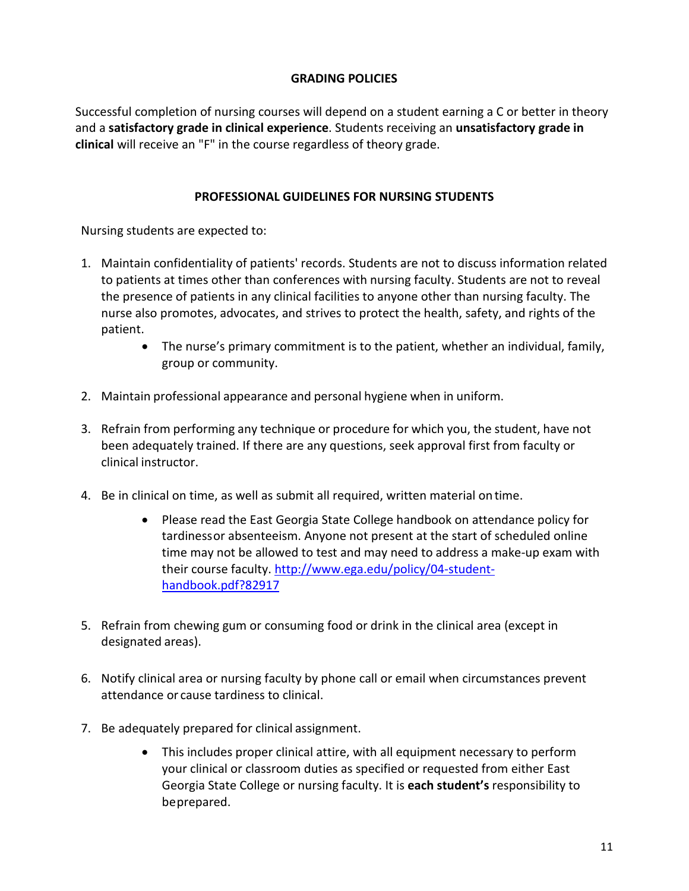# **GRADING POLICIES**

Successful completion of nursing courses will depend on a student earning a C or better in theory and a **satisfactory grade in clinical experience**. Students receiving an **unsatisfactory grade in clinical** will receive an "F" in the course regardless of theory grade.

## **PROFESSIONAL GUIDELINES FOR NURSING STUDENTS**

Nursing students are expected to:

- 1. Maintain confidentiality of patients' records. Students are not to discuss information related to patients at times other than conferences with nursing faculty. Students are not to reveal the presence of patients in any clinical facilities to anyone other than nursing faculty. The nurse also promotes, advocates, and strives to protect the health, safety, and rights of the patient.
	- The nurse's primary commitment is to the patient, whether an individual, family, group or community.
- 2. Maintain professional appearance and personal hygiene when in uniform.
- 3. Refrain from performing any technique or procedure for which you, the student, have not been adequately trained. If there are any questions, seek approval first from faculty or clinical instructor.
- 4. Be in clinical on time, as well as submit all required, written material ontime.
	- Please read the East Georgia State College handbook on attendance policy for tardinessor absenteeism. Anyone not present at the start of scheduled online time may not be allowed to test and may need to address a make-up exam with their course faculty. [http://www.ega.edu/policy/04-student](http://www.ega.edu/policy/04-student-handbook.pdf?82917)[handbook.pdf?82917](http://www.ega.edu/policy/04-student-handbook.pdf?82917)
- 5. Refrain from chewing gum or consuming food or drink in the clinical area (except in designated areas).
- 6. Notify clinical area or nursing faculty by phone call or email when circumstances prevent attendance or cause tardiness to clinical.
- 7. Be adequately prepared for clinical assignment.
	- This includes proper clinical attire, with all equipment necessary to perform your clinical or classroom duties as specified or requested from either East Georgia State College or nursing faculty. It is **each student's** responsibility to beprepared.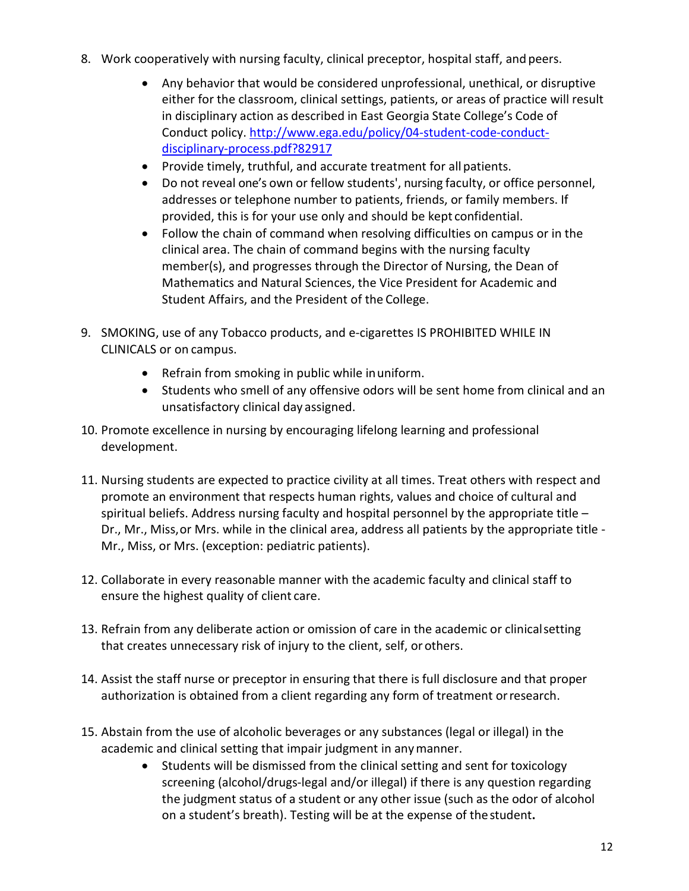- 8. Work cooperatively with nursing faculty, clinical preceptor, hospital staff, and peers.
	- Any behavior that would be considered unprofessional, unethical, or disruptive either for the classroom, clinical settings, patients, or areas of practice will result in disciplinary action as described in East Georgia State College's Code of Conduct policy. [http://www.ega.edu/policy/04-student-code-conduct](http://www.ega.edu/policy/04-student-code-conduct-disciplinary-process.pdf?82917)[disciplinary-process.pdf?82917](http://www.ega.edu/policy/04-student-code-conduct-disciplinary-process.pdf?82917)
	- Provide timely, truthful, and accurate treatment for all patients.
	- Do not reveal one's own or fellow students', nursing faculty, or office personnel, addresses or telephone number to patients, friends, or family members. If provided, this is for your use only and should be kept confidential.
	- Follow the chain of command when resolving difficulties on campus or in the clinical area. The chain of command begins with the nursing faculty member(s), and progresses through the Director of Nursing, the Dean of Mathematics and Natural Sciences, the Vice President for Academic and Student Affairs, and the President of the College.
- 9. SMOKING, use of any Tobacco products, and e-cigarettes IS PROHIBITED WHILE IN CLINICALS or on campus.
	- Refrain from smoking in public while inuniform.
	- Students who smell of any offensive odors will be sent home from clinical and an unsatisfactory clinical day assigned.
- 10. Promote excellence in nursing by encouraging lifelong learning and professional development.
- 11. Nursing students are expected to practice civility at all times. Treat others with respect and promote an environment that respects human rights, values and choice of cultural and spiritual beliefs. Address nursing faculty and hospital personnel by the appropriate title – Dr., Mr., Miss,or Mrs. while in the clinical area, address all patients by the appropriate title - Mr., Miss, or Mrs. (exception: pediatric patients).
- 12. Collaborate in every reasonable manner with the academic faculty and clinical staff to ensure the highest quality of client care.
- 13. Refrain from any deliberate action or omission of care in the academic or clinicalsetting that creates unnecessary risk of injury to the client, self, orothers.
- 14. Assist the staff nurse or preceptor in ensuring that there is full disclosure and that proper authorization is obtained from a client regarding any form of treatment orresearch.
- 15. Abstain from the use of alcoholic beverages or any substances (legal or illegal) in the academic and clinical setting that impair judgment in anymanner.
	- Students will be dismissed from the clinical setting and sent for toxicology screening (alcohol/drugs-legal and/or illegal) if there is any question regarding the judgment status of a student or any other issue (such as the odor of alcohol on a student's breath). Testing will be at the expense of thestudent**.**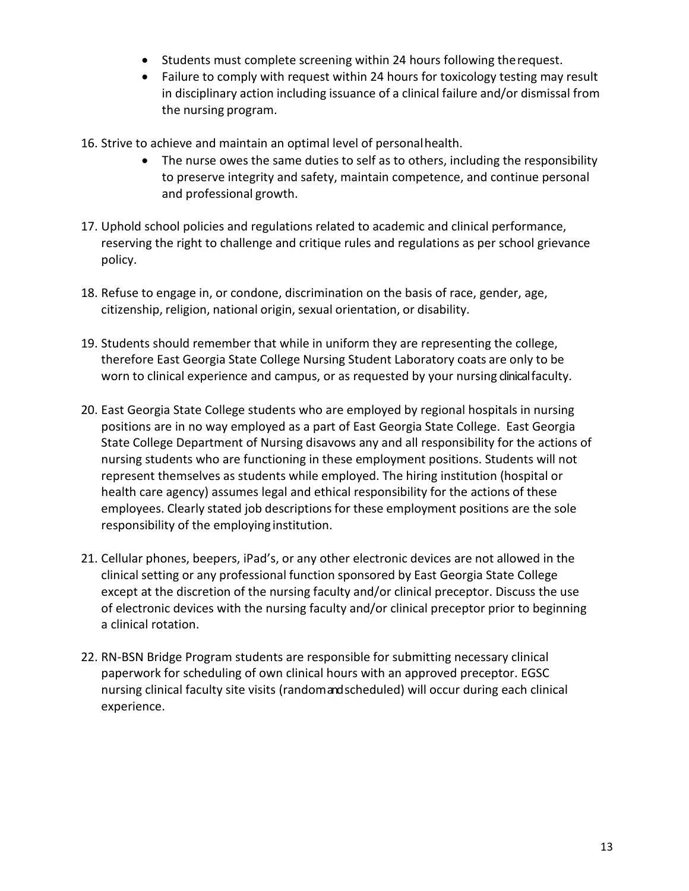- Students must complete screening within 24 hours following therequest.
- Failure to comply with request within 24 hours for toxicology testing may result in disciplinary action including issuance of a clinical failure and/or dismissal from the nursing program.
- 16. Strive to achieve and maintain an optimal level of personalhealth.
	- The nurse owes the same duties to self as to others, including the responsibility to preserve integrity and safety, maintain competence, and continue personal and professional growth.
- 17. Uphold school policies and regulations related to academic and clinical performance, reserving the right to challenge and critique rules and regulations as per school grievance policy.
- 18. Refuse to engage in, or condone, discrimination on the basis of race, gender, age, citizenship, religion, national origin, sexual orientation, or disability.
- 19. Students should remember that while in uniform they are representing the college, therefore East Georgia State College Nursing Student Laboratory coats are only to be worn to clinical experience and campus, or as requested by your nursing clinical faculty.
- 20. East Georgia State College students who are employed by regional hospitals in nursing positions are in no way employed as a part of East Georgia State College. East Georgia State College Department of Nursing disavows any and all responsibility for the actions of nursing students who are functioning in these employment positions. Students will not represent themselves as students while employed. The hiring institution (hospital or health care agency) assumes legal and ethical responsibility for the actions of these employees. Clearly stated job descriptions for these employment positions are the sole responsibility of the employing institution.
- 21. Cellular phones, beepers, iPad's, or any other electronic devices are not allowed in the clinical setting or any professional function sponsored by East Georgia State College except at the discretion of the nursing faculty and/or clinical preceptor. Discuss the use of electronic devices with the nursing faculty and/or clinical preceptor prior to beginning a clinical rotation.
- 22. RN-BSN Bridge Program students are responsible for submitting necessary clinical paperwork for scheduling of own clinical hours with an approved preceptor. EGSC nursing clinical faculty site visits (randomandscheduled) will occur during each clinical experience.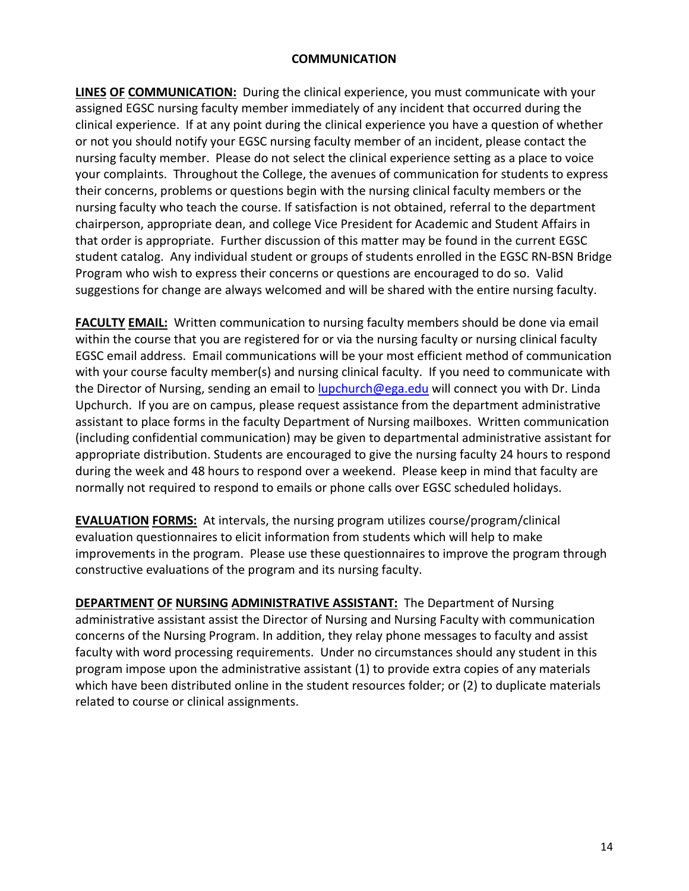#### **COMMUNICATION**

**LINES OF COMMUNICATION:** During the clinical experience, you must communicate with your assigned EGSC nursing faculty member immediately of any incident that occurred during the clinical experience. If at any point during the clinical experience you have a question of whether or not you should notify your EGSC nursing faculty member of an incident, please contact the nursing faculty member. Please do not select the clinical experience setting as a place to voice your complaints. Throughout the College, the avenues of communication for students to express their concerns, problems or questions begin with the nursing clinical faculty members or the nursing faculty who teach the course. If satisfaction is not obtained, referral to the department chairperson, appropriate dean, and college Vice President for Academic and Student Affairs in that order is appropriate. Further discussion of this matter may be found in the current EGSC student catalog. Any individual student or groups of students enrolled in the EGSC RN-BSN Bridge Program who wish to express their concerns or questions are encouraged to do so. Valid suggestions for change are always welcomed and will be shared with the entire nursing faculty.

**FACULTY EMAIL:** Written communication to nursing faculty members should be done via email within the course that you are registered for or via the nursing faculty or nursing clinical faculty EGSC email address. Email communications will be your most efficient method of communication with your course faculty member(s) and nursing clinical faculty. If you need to communicate with the Director of Nursing, sending an email t[o lupchurch@ega.edu](mailto:lupchurch@ega.edu) will connect you with Dr. Linda Upchurch. If you are on campus, please request assistance from the department administrative assistant to place forms in the faculty Department of Nursing mailboxes. Written communication (including confidential communication) may be given to departmental administrative assistant for appropriate distribution. Students are encouraged to give the nursing faculty 24 hours to respond during the week and 48 hours to respond over a weekend. Please keep in mind that faculty are normally not required to respond to emails or phone calls over EGSC scheduled holidays.

**EVALUATION FORMS:** At intervals, the nursing program utilizes course/program/clinical evaluation questionnaires to elicit information from students which will help to make improvements in the program. Please use these questionnaires to improve the program through constructive evaluations of the program and its nursing faculty.

**DEPARTMENT OF NURSING ADMINISTRATIVE ASSISTANT:** The Department of Nursing administrative assistant assist the Director of Nursing and Nursing Faculty with communication concerns of the Nursing Program. In addition, they relay phone messages to faculty and assist faculty with word processing requirements. Under no circumstances should any student in this program impose upon the administrative assistant (1) to provide extra copies of any materials which have been distributed online in the student resources folder; or (2) to duplicate materials related to course or clinical assignments.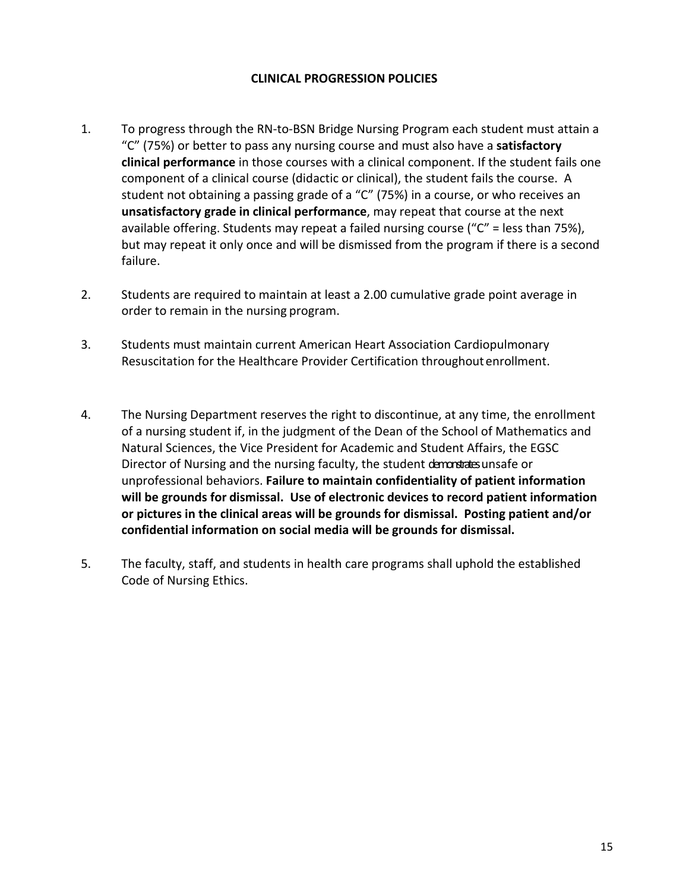#### **CLINICAL PROGRESSION POLICIES**

- 1. To progress through the RN-to-BSN Bridge Nursing Program each student must attain a "C" (75%) or better to pass any nursing course and must also have a **satisfactory clinical performance** in those courses with a clinical component. If the student fails one component of a clinical course (didactic or clinical), the student fails the course. A student not obtaining a passing grade of a "C" (75%) in a course, or who receives an **unsatisfactory grade in clinical performance**, may repeat that course at the next available offering. Students may repeat a failed nursing course ("C" = less than 75%), but may repeat it only once and will be dismissed from the program if there is a second failure.
- 2. Students are required to maintain at least a 2.00 cumulative grade point average in order to remain in the nursing program.
- 3. Students must maintain current American Heart Association Cardiopulmonary Resuscitation for the Healthcare Provider Certification throughoutenrollment.
- 4. The Nursing Department reserves the right to discontinue, at any time, the enrollment of a nursing student if, in the judgment of the Dean of the School of Mathematics and Natural Sciences, the Vice President for Academic and Student Affairs, the EGSC Director of Nursing and the nursing faculty, the student demondratesunsafe or unprofessional behaviors. **Failure to maintain confidentiality of patient information will be grounds for dismissal. Use of electronic devices to record patient information or pictures in the clinical areas will be grounds for dismissal. Posting patient and/or confidential information on social media will be grounds for dismissal.**
- 5. The faculty, staff, and students in health care programs shall uphold the established Code of Nursing Ethics.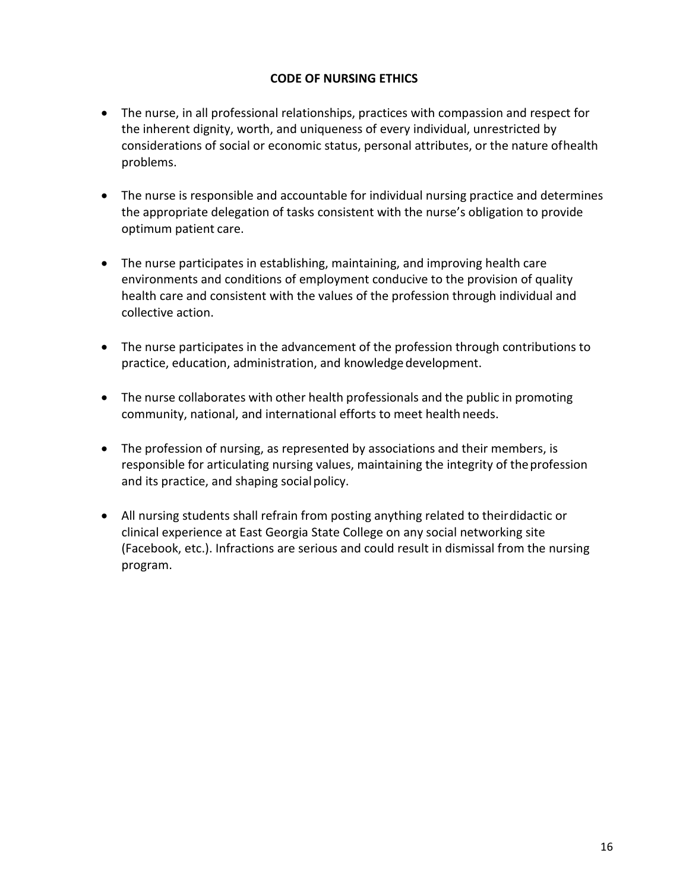# **CODE OF NURSING ETHICS**

- The nurse, in all professional relationships, practices with compassion and respect for the inherent dignity, worth, and uniqueness of every individual, unrestricted by considerations of social or economic status, personal attributes, or the nature ofhealth problems.
- The nurse is responsible and accountable for individual nursing practice and determines the appropriate delegation of tasks consistent with the nurse's obligation to provide optimum patient care.
- The nurse participates in establishing, maintaining, and improving health care environments and conditions of employment conducive to the provision of quality health care and consistent with the values of the profession through individual and collective action.
- The nurse participates in the advancement of the profession through contributions to practice, education, administration, and knowledge development.
- The nurse collaborates with other health professionals and the public in promoting community, national, and international efforts to meet health needs.
- The profession of nursing, as represented by associations and their members, is responsible for articulating nursing values, maintaining the integrity of theprofession and its practice, and shaping social policy.
- All nursing students shall refrain from posting anything related to theirdidactic or clinical experience at East Georgia State College on any social networking site (Facebook, etc.). Infractions are serious and could result in dismissal from the nursing program.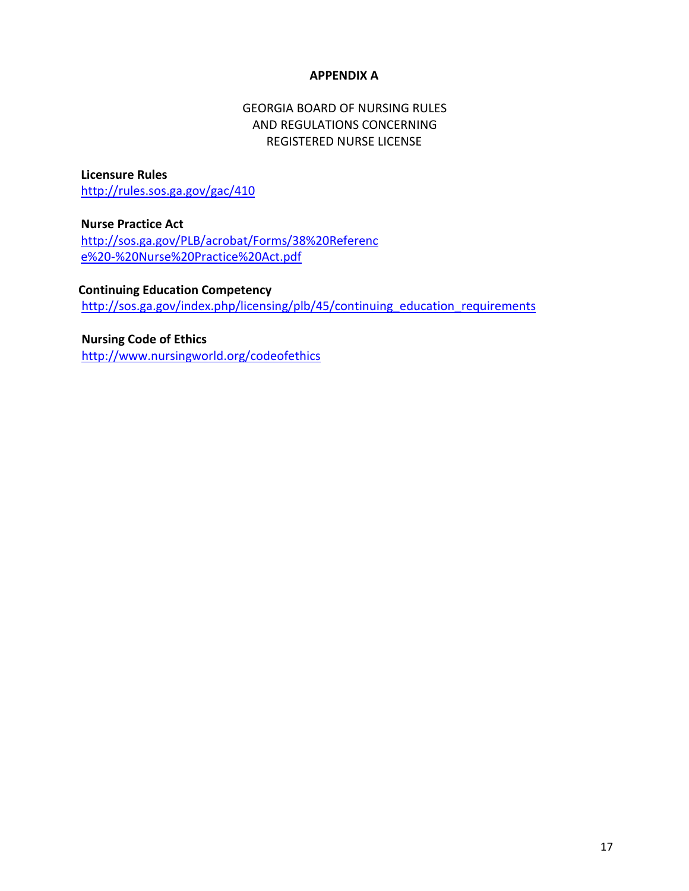#### **APPENDIX A**

# GEORGIA BOARD OF NURSING RULES AND REGULATIONS CONCERNING REGISTERED NURSE LICENSE

**Licensure Rules**  <http://rules.sos.ga.gov/gac/410>

**Nurse Practice Act**  [http://sos.ga.gov/PLB/acrobat/Forms/38%20Referenc](http://sos.ga.gov/PLB/acrobat/Forms/38%20Reference%20-%20Nurse%20Practice%20Act.pdf) [e%20-%20Nurse%20Practice%20Act.pdf](http://sos.ga.gov/PLB/acrobat/Forms/38%20Reference%20-%20Nurse%20Practice%20Act.pdf)

**Continuing Education Competency**  [http://sos.ga.gov/index.php/licensing/plb/45/continuing\\_education\\_requirements](http://sos.ga.gov/index.php/licensing/plb/45/continuing_education_requirements)

 **Nursing Code of Ethics**  http://www.nursingworld.org/codeofethics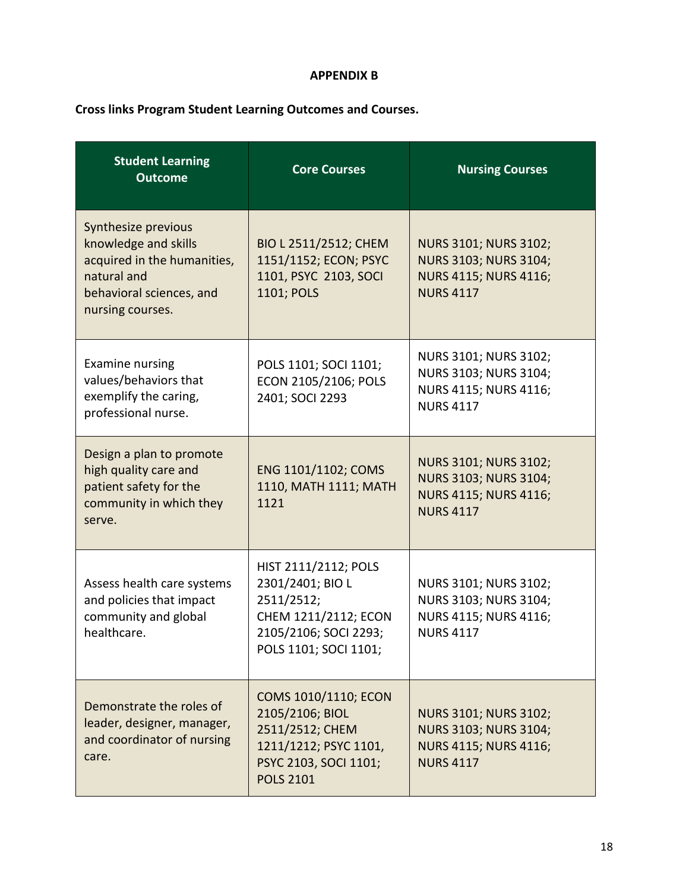#### **APPENDIX B**

# **Cross links Program Student Learning Outcomes and Courses.**

| <b>Student Learning</b><br><b>Outcome</b>                                                                                                 | <b>Core Courses</b>                                                                                                              | <b>Nursing Courses</b>                                                                                    |  |
|-------------------------------------------------------------------------------------------------------------------------------------------|----------------------------------------------------------------------------------------------------------------------------------|-----------------------------------------------------------------------------------------------------------|--|
| Synthesize previous<br>knowledge and skills<br>acquired in the humanities,<br>natural and<br>behavioral sciences, and<br>nursing courses. | BIO L 2511/2512; CHEM<br>1151/1152; ECON; PSYC<br>1101, PSYC 2103, SOCI<br>1101; POLS                                            | <b>NURS 3101; NURS 3102;</b><br>NURS 3103; NURS 3104;<br><b>NURS 4115; NURS 4116;</b><br><b>NURS 4117</b> |  |
| <b>Examine nursing</b><br>values/behaviors that<br>exemplify the caring,<br>professional nurse.                                           | POLS 1101; SOCI 1101;<br>ECON 2105/2106; POLS<br>2401; SOCI 2293                                                                 | NURS 3101; NURS 3102;<br>NURS 3103; NURS 3104;<br>NURS 4115; NURS 4116;<br><b>NURS 4117</b>               |  |
| Design a plan to promote<br>high quality care and<br>patient safety for the<br>community in which they<br>serve.                          | ENG 1101/1102; COMS<br>1110, MATH 1111; MATH<br>1121                                                                             | <b>NURS 3101; NURS 3102;</b><br>NURS 3103; NURS 3104;<br><b>NURS 4115; NURS 4116;</b><br><b>NURS 4117</b> |  |
| Assess health care systems<br>and policies that impact<br>community and global<br>healthcare.                                             | HIST 2111/2112; POLS<br>2301/2401; BIO L<br>2511/2512;<br>CHEM 1211/2112; ECON<br>2105/2106; SOCI 2293;<br>POLS 1101; SOCI 1101; | NURS 3101; NURS 3102;<br>NURS 3103; NURS 3104;<br>NURS 4115; NURS 4116;<br><b>NURS 4117</b>               |  |
| Demonstrate the roles of<br>leader, designer, manager,<br>and coordinator of nursing<br>care.                                             | COMS 1010/1110; ECON<br>2105/2106; BIOL<br>2511/2512; CHEM<br>1211/1212; PSYC 1101,<br>PSYC 2103, SOCI 1101;<br><b>POLS 2101</b> | <b>NURS 3101; NURS 3102;</b><br><b>NURS 3103; NURS 3104;</b><br>NURS 4115; NURS 4116;<br><b>NURS 4117</b> |  |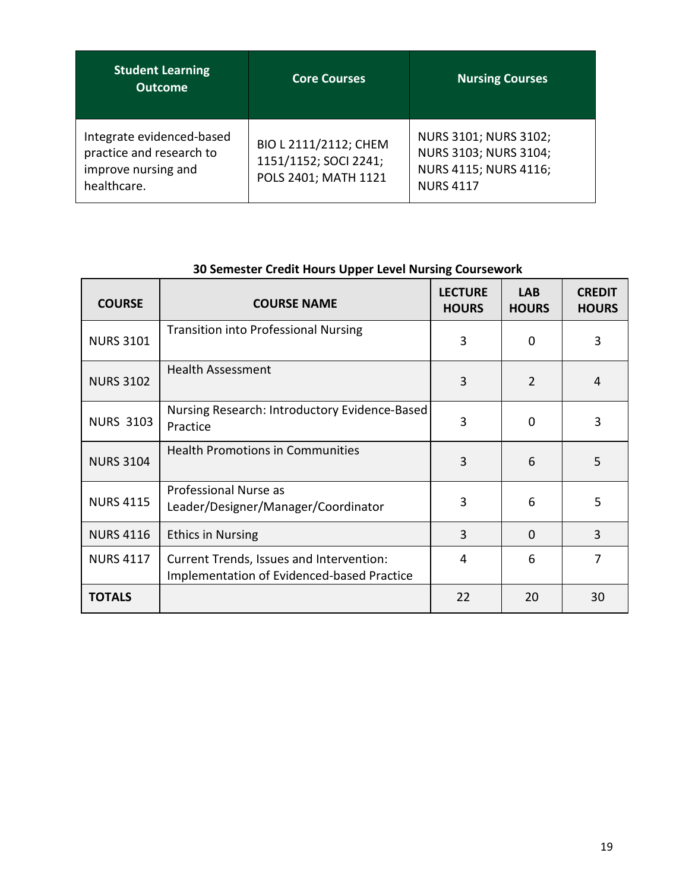| <b>Student Learning</b><br><b>Outcome</b>                                                   | <b>Core Courses</b>                                                    | <b>Nursing Courses</b>                                                                      |
|---------------------------------------------------------------------------------------------|------------------------------------------------------------------------|---------------------------------------------------------------------------------------------|
| Integrate evidenced-based<br>practice and research to<br>improve nursing and<br>healthcare. | BIO L 2111/2112; CHEM<br>1151/1152; SOCI 2241;<br>POLS 2401; MATH 1121 | NURS 3101; NURS 3102;<br>NURS 3103; NURS 3104;<br>NURS 4115; NURS 4116;<br><b>NURS 4117</b> |

| <b>COURSE</b>    | <b>COURSE NAME</b>                                                                     | <b>LECTURE</b><br><b>HOURS</b> | <b>LAB</b><br><b>HOURS</b> | <b>CREDIT</b><br><b>HOURS</b> |
|------------------|----------------------------------------------------------------------------------------|--------------------------------|----------------------------|-------------------------------|
| <b>NURS 3101</b> | <b>Transition into Professional Nursing</b>                                            | 3                              | $\Omega$                   | 3                             |
| <b>NURS 3102</b> | <b>Health Assessment</b>                                                               | 3                              | $\mathcal{P}$              | $\overline{4}$                |
| <b>NURS 3103</b> | Nursing Research: Introductory Evidence-Based<br>Practice                              | 3                              | $\Omega$                   | 3                             |
| <b>NURS 3104</b> | <b>Health Promotions in Communities</b>                                                | 3                              | 6                          | 5                             |
| <b>NURS 4115</b> | Professional Nurse as<br>Leader/Designer/Manager/Coordinator                           | 3                              | 6                          | 5                             |
| <b>NURS 4116</b> | <b>Ethics in Nursing</b>                                                               | 3                              | $\Omega$                   | 3                             |
| <b>NURS 4117</b> | Current Trends, Issues and Intervention:<br>Implementation of Evidenced-based Practice | 4                              | 6                          | 7                             |
| <b>TOTALS</b>    |                                                                                        | 22                             | 20                         | 30                            |

# **30 Semester Credit Hours Upper Level Nursing Coursework**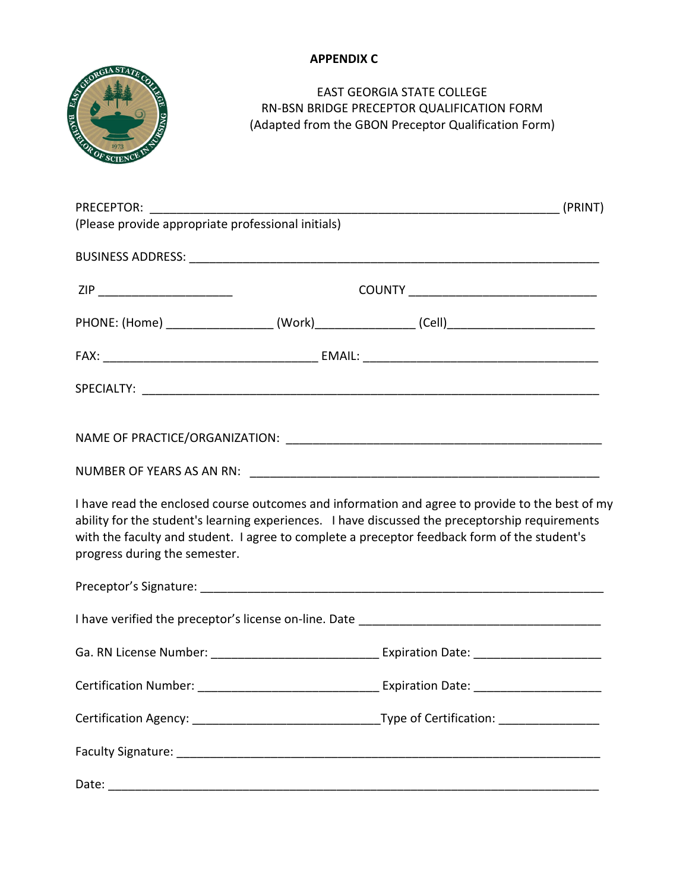# **APPENDIX C**



# EAST GEORGIA STATE COLLEGE RN-BSN BRIDGE PRECEPTOR QUALIFICATION FORM (Adapted from the GBON Preceptor Qualification Form)

| (Please provide appropriate professional initials) |  |                                                                                                                                                                                                                                                                                                    |
|----------------------------------------------------|--|----------------------------------------------------------------------------------------------------------------------------------------------------------------------------------------------------------------------------------------------------------------------------------------------------|
|                                                    |  |                                                                                                                                                                                                                                                                                                    |
| ZIP __________________________                     |  |                                                                                                                                                                                                                                                                                                    |
|                                                    |  | PHONE: (Home) ______________________(Work)__________________(Cell)_________________________________                                                                                                                                                                                                |
|                                                    |  |                                                                                                                                                                                                                                                                                                    |
|                                                    |  |                                                                                                                                                                                                                                                                                                    |
|                                                    |  |                                                                                                                                                                                                                                                                                                    |
|                                                    |  |                                                                                                                                                                                                                                                                                                    |
| progress during the semester.                      |  | I have read the enclosed course outcomes and information and agree to provide to the best of my<br>ability for the student's learning experiences. I have discussed the preceptorship requirements<br>with the faculty and student. I agree to complete a preceptor feedback form of the student's |
|                                                    |  |                                                                                                                                                                                                                                                                                                    |
|                                                    |  |                                                                                                                                                                                                                                                                                                    |
|                                                    |  |                                                                                                                                                                                                                                                                                                    |
|                                                    |  |                                                                                                                                                                                                                                                                                                    |
|                                                    |  |                                                                                                                                                                                                                                                                                                    |
|                                                    |  |                                                                                                                                                                                                                                                                                                    |
|                                                    |  |                                                                                                                                                                                                                                                                                                    |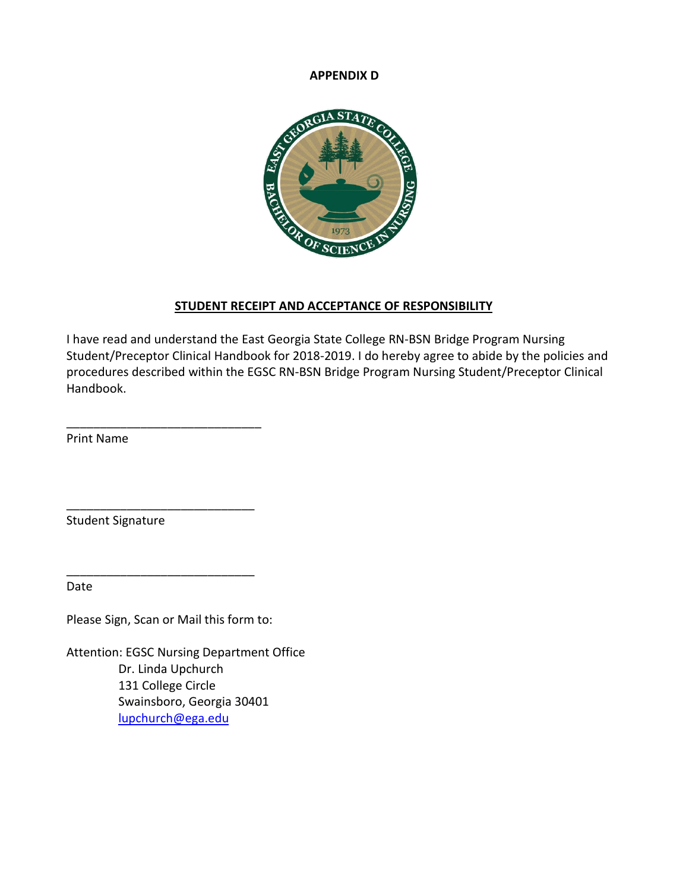#### **APPENDIX D**



#### **STUDENT RECEIPT AND ACCEPTANCE OF RESPONSIBILITY**

I have read and understand the East Georgia State College RN-BSN Bridge Program Nursing Student/Preceptor Clinical Handbook for 2018-2019. I do hereby agree to abide by the policies and procedures described within the EGSC RN-BSN Bridge Program Nursing Student/Preceptor Clinical Handbook.

Print Name

Student Signature

Date

Please Sign, Scan or Mail this form to:

\_\_\_\_\_\_\_\_\_\_\_\_\_\_\_\_\_\_\_\_\_\_\_\_\_\_\_\_\_

\_\_\_\_\_\_\_\_\_\_\_\_\_\_\_\_\_\_\_\_\_\_\_\_\_\_\_\_

\_\_\_\_\_\_\_\_\_\_\_\_\_\_\_\_\_\_\_\_\_\_\_\_\_\_\_\_

Attention: EGSC Nursing Department Office Dr. Linda Upchurch 131 College Circle Swainsboro, Georgia 30401 [lupchurch@ega.edu](mailto:lupchurch@ega.edu)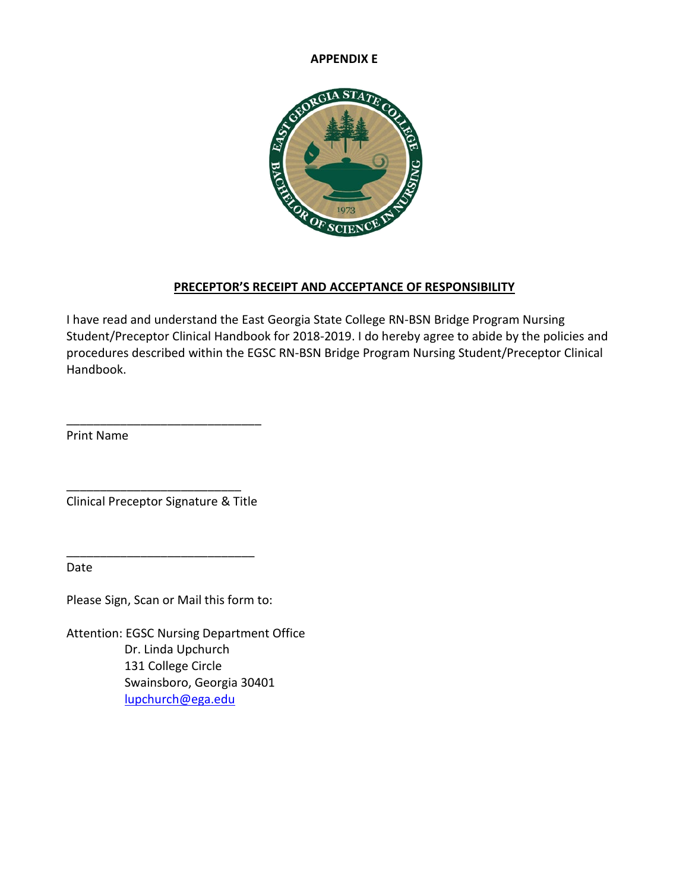#### **APPENDIX E**



# **PRECEPTOR'S RECEIPT AND ACCEPTANCE OF RESPONSIBILITY**

I have read and understand the East Georgia State College RN-BSN Bridge Program Nursing Student/Preceptor Clinical Handbook for 2018-2019. I do hereby agree to abide by the policies and procedures described within the EGSC RN-BSN Bridge Program Nursing Student/Preceptor Clinical Handbook.

Print Name

\_\_\_\_\_\_\_\_\_\_\_\_\_\_\_\_\_\_\_\_\_\_\_\_\_\_ Clinical Preceptor Signature & Title

\_\_\_\_\_\_\_\_\_\_\_\_\_\_\_\_\_\_\_\_\_\_\_\_\_\_\_\_

\_\_\_\_\_\_\_\_\_\_\_\_\_\_\_\_\_\_\_\_\_\_\_\_\_\_\_\_\_

Date

Please Sign, Scan or Mail this form to:

Attention: EGSC Nursing Department Office Dr. Linda Upchurch 131 College Circle Swainsboro, Georgia 30401 [lupchurch@ega.edu](mailto:lupchurch@ega.edu)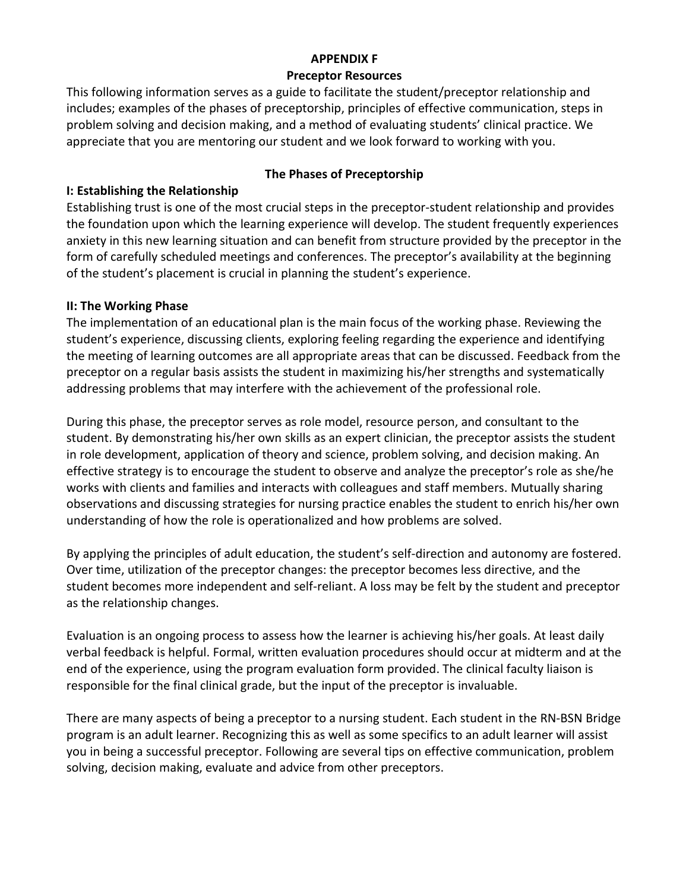# **APPENDIX F**

#### **Preceptor Resources**

This following information serves as a guide to facilitate the student/preceptor relationship and includes; examples of the phases of preceptorship, principles of effective communication, steps in problem solving and decision making, and a method of evaluating students' clinical practice. We appreciate that you are mentoring our student and we look forward to working with you.

# **I: Establishing the Relationship**

#### **The Phases of Preceptorship**

Establishing trust is one of the most crucial steps in the preceptor-student relationship and provides the foundation upon which the learning experience will develop. The student frequently experiences anxiety in this new learning situation and can benefit from structure provided by the preceptor in the form of carefully scheduled meetings and conferences. The preceptor's availability at the beginning of the student's placement is crucial in planning the student's experience.

## **II: The Working Phase**

The implementation of an educational plan is the main focus of the working phase. Reviewing the student's experience, discussing clients, exploring feeling regarding the experience and identifying the meeting of learning outcomes are all appropriate areas that can be discussed. Feedback from the preceptor on a regular basis assists the student in maximizing his/her strengths and systematically addressing problems that may interfere with the achievement of the professional role.

During this phase, the preceptor serves as role model, resource person, and consultant to the student. By demonstrating his/her own skills as an expert clinician, the preceptor assists the student in role development, application of theory and science, problem solving, and decision making. An effective strategy is to encourage the student to observe and analyze the preceptor's role as she/he works with clients and families and interacts with colleagues and staff members. Mutually sharing observations and discussing strategies for nursing practice enables the student to enrich his/her own understanding of how the role is operationalized and how problems are solved.

By applying the principles of adult education, the student's self-direction and autonomy are fostered. Over time, utilization of the preceptor changes: the preceptor becomes less directive, and the student becomes more independent and self-reliant. A loss may be felt by the student and preceptor as the relationship changes.

Evaluation is an ongoing process to assess how the learner is achieving his/her goals. At least daily verbal feedback is helpful. Formal, written evaluation procedures should occur at midterm and at the end of the experience, using the program evaluation form provided. The clinical faculty liaison is responsible for the final clinical grade, but the input of the preceptor is invaluable.

There are many aspects of being a preceptor to a nursing student. Each student in the RN-BSN Bridge program is an adult learner. Recognizing this as well as some specifics to an adult learner will assist you in being a successful preceptor. Following are several tips on effective communication, problem solving, decision making, evaluate and advice from other preceptors.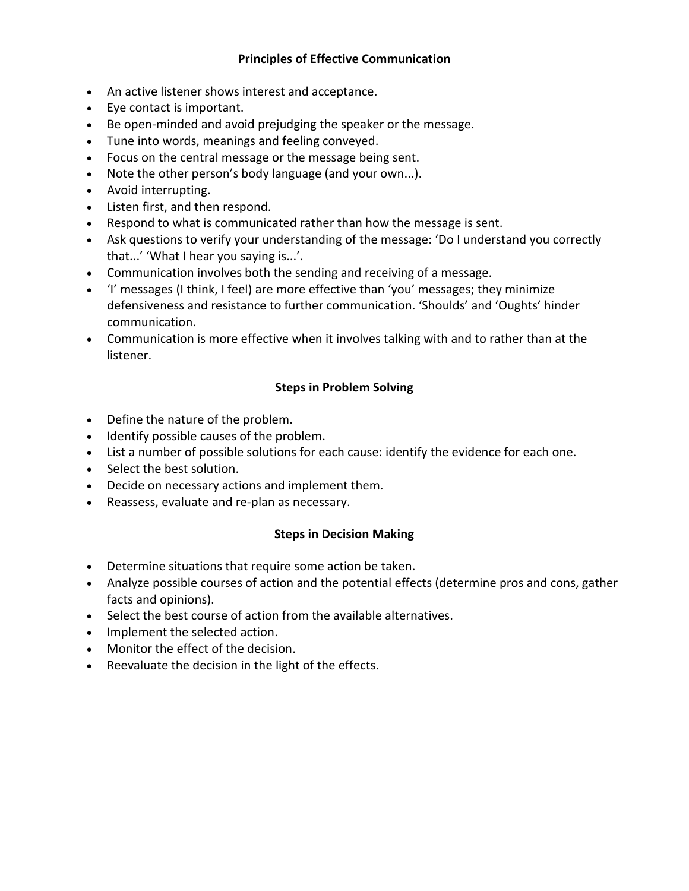## **Principles of Effective Communication**

- An active listener shows interest and acceptance.
- Eye contact is important.
- Be open-minded and avoid prejudging the speaker or the message.
- Tune into words, meanings and feeling conveyed.
- Focus on the central message or the message being sent.
- Note the other person's body language (and your own...).
- Avoid interrupting.
- Listen first, and then respond.
- Respond to what is communicated rather than how the message is sent.
- Ask questions to verify your understanding of the message: 'Do I understand you correctly that...' 'What I hear you saying is...'.
- Communication involves both the sending and receiving of a message.
- 'I' messages (I think, I feel) are more effective than 'you' messages; they minimize defensiveness and resistance to further communication. 'Shoulds' and 'Oughts' hinder communication.
- Communication is more effective when it involves talking with and to rather than at the listener.

# **Steps in Problem Solving**

- Define the nature of the problem.
- Identify possible causes of the problem.
- List a number of possible solutions for each cause: identify the evidence for each one.
- Select the best solution.
- Decide on necessary actions and implement them.
- Reassess, evaluate and re-plan as necessary.

## **Steps in Decision Making**

- Determine situations that require some action be taken.
- Analyze possible courses of action and the potential effects (determine pros and cons, gather facts and opinions).
- Select the best course of action from the available alternatives.
- Implement the selected action.
- Monitor the effect of the decision.
- Reevaluate the decision in the light of the effects.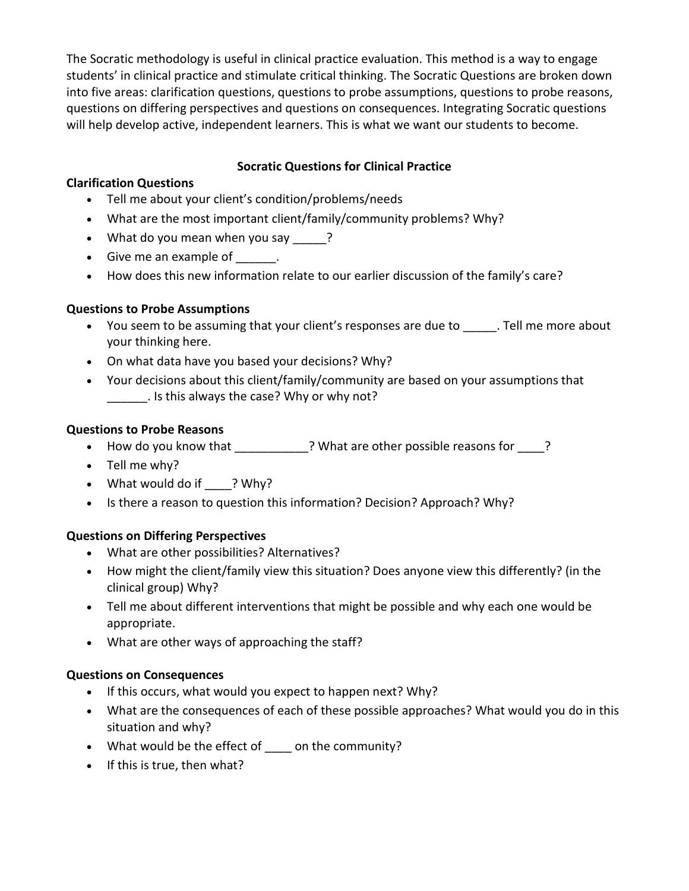The Socratic methodology is useful in clinical practice evaluation. This method is a way to engage students' in clinical practice and stimulate critical thinking. The Socratic Questions are broken down into five areas: clarification questions, questions to probe assumptions, questions to probe reasons, questions on differing perspectives and questions on consequences. Integrating Socratic questions will help develop active, independent learners. This is what we want our students to become.

## **Socratic Questions for Clinical Practice**

### **Clarification Questions**

- Tell me about your client's condition/problems/needs
- What are the most important client/family/community problems? Why?
- What do you mean when you say \_\_\_\_\_?
- Give me an example of [11].
- How does this new information relate to our earlier discussion of the family's care?

#### **Questions to Probe Assumptions**

- You seem to be assuming that your client's responses are due to \_\_\_\_\_. Tell me more about your thinking here.
- On what data have you based your decisions? Why?
- Your decisions about this client/family/community are based on your assumptions that . Is this always the case? Why or why not?

#### **Questions to Probe Reasons**

- How do you know that \_\_\_\_\_\_\_\_\_\_\_? What are other possible reasons for \_\_\_\_?
- Tell me why?
- What would do if ? Why?
- Is there a reason to question this information? Decision? Approach? Why?

#### **Questions on Differing Perspectives**

- What are other possibilities? Alternatives?
- How might the client/family view this situation? Does anyone view this differently? (in the clinical group) Why?
- Tell me about different interventions that might be possible and why each one would be appropriate.
- What are other ways of approaching the staff?

#### **Questions on Consequences**

- If this occurs, what would you expect to happen next? Why?
- What are the consequences of each of these possible approaches? What would you do in this situation and why?
- What would be the effect of on the community?
- If this is true, then what?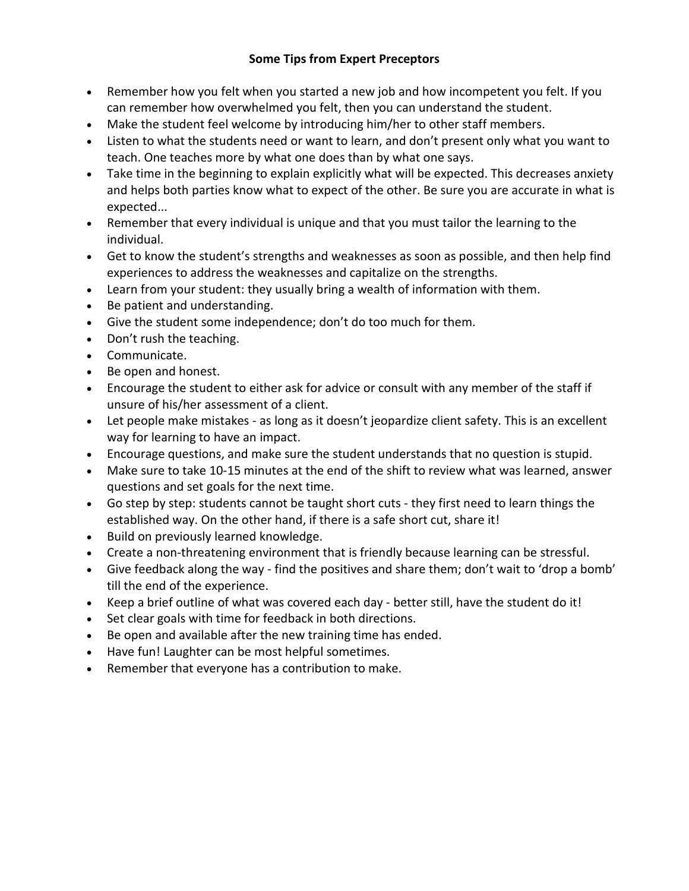# **Some Tips from Expert Preceptors**

- Remember how you felt when you started a new job and how incompetent you felt. If you can remember how overwhelmed you felt, then you can understand the student.
- Make the student feel welcome by introducing him/her to other staff members.
- Listen to what the students need or want to learn, and don't present only what you want to teach. One teaches more by what one does than by what one says.
- Take time in the beginning to explain explicitly what will be expected. This decreases anxiety and helps both parties know what to expect of the other. Be sure you are accurate in what is expected...
- Remember that every individual is unique and that you must tailor the learning to the individual.
- Get to know the student's strengths and weaknesses as soon as possible, and then help find experiences to address the weaknesses and capitalize on the strengths.
- Learn from your student: they usually bring a wealth of information with them.
- Be patient and understanding.
- Give the student some independence; don't do too much for them.
- Don't rush the teaching.
- Communicate.
- Be open and honest.
- Encourage the student to either ask for advice or consult with any member of the staff if unsure of his/her assessment of a client.
- Let people make mistakes as long as it doesn't jeopardize client safety. This is an excellent way for learning to have an impact.
- Encourage questions, and make sure the student understands that no question is stupid.
- Make sure to take 10-15 minutes at the end of the shift to review what was learned, answer questions and set goals for the next time.
- Go step by step: students cannot be taught short cuts they first need to learn things the established way. On the other hand, if there is a safe short cut, share it!
- Build on previously learned knowledge.
- Create a non-threatening environment that is friendly because learning can be stressful.
- Give feedback along the way find the positives and share them; don't wait to 'drop a bomb' till the end of the experience.
- Keep a brief outline of what was covered each day better still, have the student do it!
- Set clear goals with time for feedback in both directions.
- Be open and available after the new training time has ended.
- Have fun! Laughter can be most helpful sometimes.
- Remember that everyone has a contribution to make.